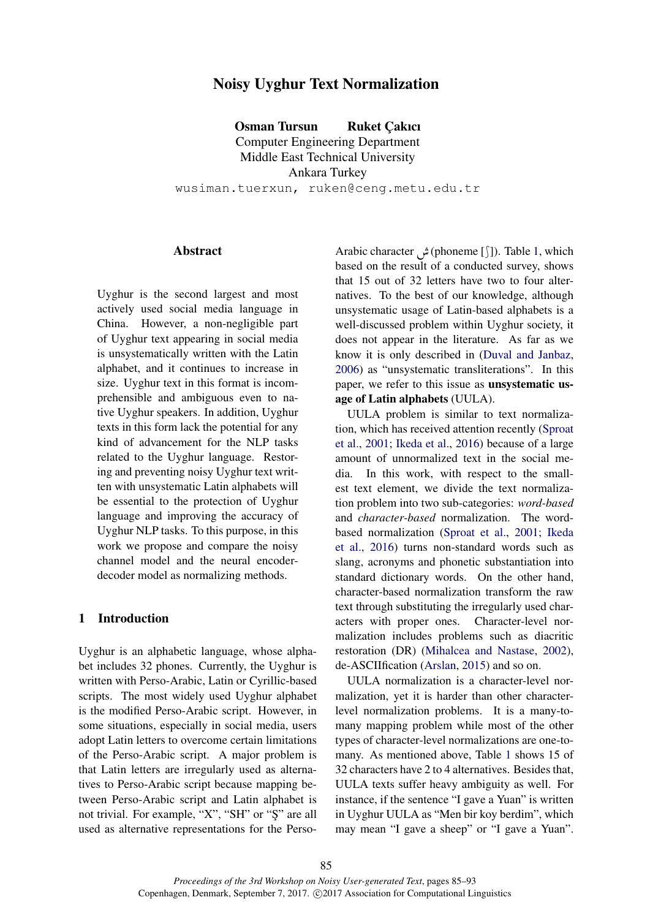# Noisy Uyghur Text Normalization

Osman Tursun Ruket Cakıcı Computer Engineering Department Middle East Technical University Ankara Turkey wusiman.tuerxun, ruken@ceng.metu.edu.tr

## **Abstract**

Uyghur is the second largest and most actively used social media language in China. However, a non-negligible part of Uyghur text appearing in social media is unsystematically written with the Latin alphabet, and it continues to increase in size. Uyghur text in this format is incomprehensible and ambiguous even to native Uyghur speakers. In addition, Uyghur texts in this form lack the potential for any kind of advancement for the NLP tasks related to the Uyghur language. Restoring and preventing noisy Uyghur text written with unsystematic Latin alphabets will be essential to the protection of Uyghur language and improving the accuracy of Uyghur NLP tasks. To this purpose, in this work we propose and compare the noisy channel model and the neural encoderdecoder model as normalizing methods.

## 1 Introduction

Uyghur is an alphabetic language, whose alphabet includes 32 phones. Currently, the Uyghur is written with Perso-Arabic, Latin or Cyrillic-based scripts. The most widely used Uyghur alphabet is the modified Perso-Arabic script. However, in some situations, especially in social media, users adopt Latin letters to overcome certain limitations of the Perso-Arabic script. A major problem is that Latin letters are irregularly used as alternatives to Perso-Arabic script because mapping between Perso-Arabic script and Latin alphabet is not trivial. For example, "X", "SH" or "Ş" are all used as alternative representations for the Perso-

Arabic character (phoneme [+]). Table 1, which based on the result of a conducted survey, shows that 15 out of 32 letters have two to four alternatives. To the best of our knowledge, although unsystematic usage of Latin-based alphabets is a well-discussed problem within Uyghur society, it does not appear in the literature. As far as we know it is only described in (Duval and Janbaz, 2006) as "unsystematic transliterations". In this paper, we refer to this issue as unsystematic usage of Latin alphabets (UULA).

UULA problem is similar to text normalization, which has received attention recently (Sproat et al., 2001; Ikeda et al., 2016) because of a large amount of unnormalized text in the social media. In this work, with respect to the smallest text element, we divide the text normalization problem into two sub-categories: *word-based* and *character-based* normalization. The wordbased normalization (Sproat et al., 2001; Ikeda et al., 2016) turns non-standard words such as slang, acronyms and phonetic substantiation into standard dictionary words. On the other hand, character-based normalization transform the raw text through substituting the irregularly used characters with proper ones. Character-level normalization includes problems such as diacritic restoration (DR) (Mihalcea and Nastase, 2002), de-ASCIIfication (Arslan, 2015) and so on.

UULA normalization is a character-level normalization, yet it is harder than other characterlevel normalization problems. It is a many-tomany mapping problem while most of the other types of character-level normalizations are one-tomany. As mentioned above, Table 1 shows 15 of 32 characters have 2 to 4 alternatives. Besides that, UULA texts suffer heavy ambiguity as well. For instance, if the sentence "I gave a Yuan" is written in Uyghur UULA as "Men bir koy berdim", which may mean "I gave a sheep" or "I gave a Yuan".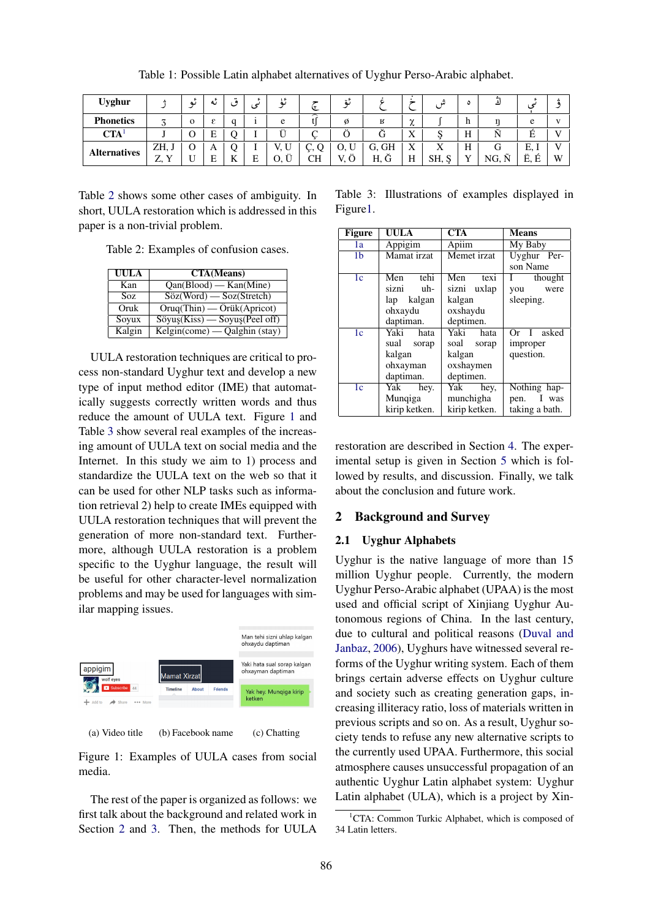| <b>Uyghur</b>       |                                     | ىم           | ىە | $\bullet$ | c | 15<br>ىم | l۳<br>÷ | ءِ<br>ىە |                     |                  |           |   |                                   |             |      |
|---------------------|-------------------------------------|--------------|----|-----------|---|----------|---------|----------|---------------------|------------------|-----------|---|-----------------------------------|-------------|------|
| <b>Phonetics</b>    | ⇁<br>◡                              | $\mathbf{O}$ | ε  |           |   | e        | ⌒       | Ø        | R                   | $\sim$<br>$\sim$ |           | п |                                   | $\Delta$    |      |
| <b>CTA</b>          |                                     |              | E  |           |   |          |         |          | G                   | X                |           | H |                                   |             | T. T |
| <b>Alternatives</b> | ZH, J                               |              | A  |           |   | U<br>٠.  |         | U,<br>◡  | <b>GH</b><br>Ü,     | X                | $\Lambda$ | н |                                   | Е.          |      |
|                     | $\mathbf{v}$<br>7<br>$\overline{v}$ |              | E  |           | E | <br>U,   | CН      | <br>٠.   | $\check{ }$<br>H, G | H                | SH, S     |   | $\tilde{\phantom{a}}$<br>NG.<br>N | <br>Е.<br>F | W    |

Table 1: Possible Latin alphabet alternatives of Uyghur Perso-Arabic alphabet.

Table 2 shows some other cases of ambiguity. In short, UULA restoration which is addressed in this paper is a non-trivial problem.

Table 2: Examples of confusion cases.

| UULA   | <b>CTA</b> (Means)                                            |
|--------|---------------------------------------------------------------|
| Kan    | $\overline{Qan(Blood)}$ - Kan(Mine)                           |
| Soz.   | $Söz(Word)$ - Soz(Stretch)                                    |
| Oruk   | $Oruq(Thin)$ - $Öriik(Apricot)$                               |
| Soyux  | $Söyu$ <sub>s</sub> $(Kiss)$ — Soyu <sub>s</sub> $(Peel off)$ |
| Kalgin | Kelgin(come) — Qalghin (stay)                                 |

UULA restoration techniques are critical to process non-standard Uyghur text and develop a new type of input method editor (IME) that automatically suggests correctly written words and thus reduce the amount of UULA text. Figure 1 and Table 3 show several real examples of the increasing amount of UULA text on social media and the Internet. In this study we aim to 1) process and standardize the UULA text on the web so that it can be used for other NLP tasks such as information retrieval 2) help to create IMEs equipped with UULA restoration techniques that will prevent the generation of more non-standard text. Furthermore, although UULA restoration is a problem specific to the Uyghur language, the result will be useful for other character-level normalization problems and may be used for languages with similar mapping issues.



(a) Video title (b) Facebook name (c) Chatting

Figure 1: Examples of UULA cases from social media.

The rest of the paper is organized as follows: we first talk about the background and related work in Section 2 and 3. Then, the methods for UULA

Table 3: Illustrations of examples displayed in Figure1.

| Figure         | UULA          | <b>CTA</b>    | <b>Means</b>            |  |
|----------------|---------------|---------------|-------------------------|--|
| 1a             | Appigim       | Apiim         | My Baby                 |  |
| 1 <sub>b</sub> | Mamat irzat   | Memet irzat   | Uyghur Per-             |  |
|                |               |               | son Name                |  |
| 1 <sub>c</sub> | tehi<br>Men   | Men<br>texi   | $\mathbf{I}$<br>thought |  |
|                | sizni<br>uh-  | sizni uxlap   | were<br>you             |  |
|                | kalgan<br>lap | kalgan        | sleeping.               |  |
|                | ohxaydu       | oxshaydu      |                         |  |
|                | daptiman.     | deptimen.     |                         |  |
| 1 <sub>c</sub> | Yaki<br>hata  | Yaki<br>hata  | Or I asked              |  |
|                | sual<br>sorap | soal<br>sorap | improper                |  |
|                | kalgan        | kalgan        | question.               |  |
|                | ohxayman      | oxshaymen     |                         |  |
|                | daptiman.     | deptimen.     |                         |  |
| 1 <sub>c</sub> | Yak<br>hey.   | Yak<br>hey,   | Nothing hap-            |  |
|                | Munqiga       | munchigha     | I was<br>pen.           |  |
|                | kirip ketken. | kirip ketken. | taking a bath.          |  |

restoration are described in Section 4. The experimental setup is given in Section 5 which is followed by results, and discussion. Finally, we talk about the conclusion and future work.

## 2 Background and Survey

## 2.1 Uyghur Alphabets

Uyghur is the native language of more than 15 million Uyghur people. Currently, the modern Uyghur Perso-Arabic alphabet (UPAA) is the most used and official script of Xinjiang Uyghur Autonomous regions of China. In the last century, due to cultural and political reasons (Duval and Janbaz, 2006), Uyghurs have witnessed several reforms of the Uyghur writing system. Each of them brings certain adverse effects on Uyghur culture and society such as creating generation gaps, increasing illiteracy ratio, loss of materials written in previous scripts and so on. As a result, Uyghur society tends to refuse any new alternative scripts to the currently used UPAA. Furthermore, this social atmosphere causes unsuccessful propagation of an authentic Uyghur Latin alphabet system: Uyghur Latin alphabet (ULA), which is a project by Xin-

<sup>&</sup>lt;sup>1</sup>CTA: Common Turkic Alphabet, which is composed of 34 Latin letters.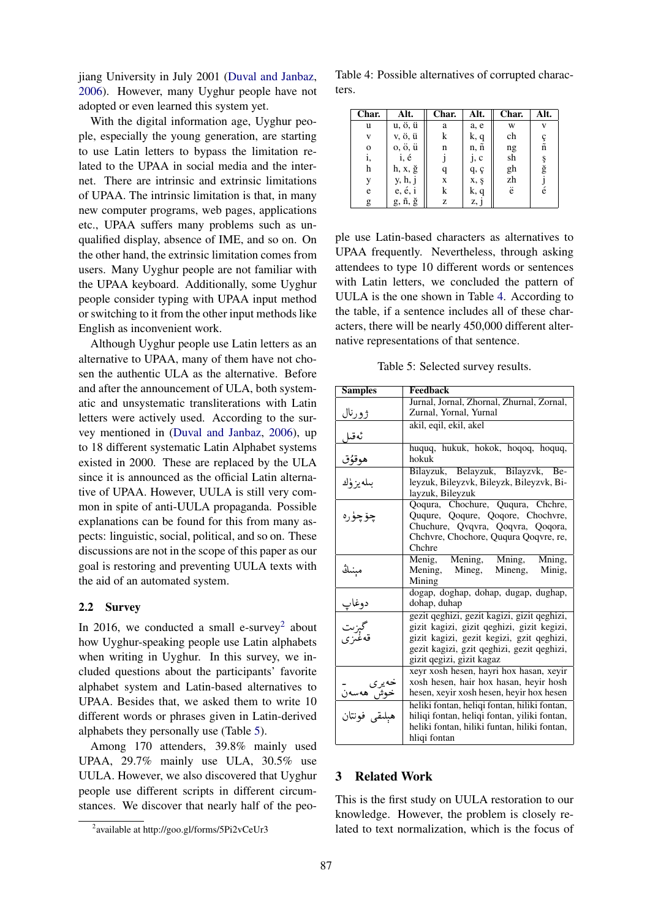jiang University in July 2001 (Duval and Janbaz, 2006). However, many Uyghur people have not adopted or even learned this system yet.

With the digital information age, Uyghur people, especially the young generation, are starting to use Latin letters to bypass the limitation related to the UPAA in social media and the internet. There are intrinsic and extrinsic limitations of UPAA. The intrinsic limitation is that, in many new computer programs, web pages, applications etc., UPAA suffers many problems such as unqualified display, absence of IME, and so on. On the other hand, the extrinsic limitation comes from users. Many Uyghur people are not familiar with the UPAA keyboard. Additionally, some Uyghur people consider typing with UPAA input method or switching to it from the other input methods like English as inconvenient work.

Although Uyghur people use Latin letters as an alternative to UPAA, many of them have not chosen the authentic ULA as the alternative. Before and after the announcement of ULA, both systematic and unsystematic transliterations with Latin letters were actively used. According to the survey mentioned in (Duval and Janbaz, 2006), up to 18 different systematic Latin Alphabet systems existed in 2000. These are replaced by the ULA since it is announced as the official Latin alternative of UPAA. However, UULA is still very common in spite of anti-UULA propaganda. Possible explanations can be found for this from many aspects: linguistic, social, political, and so on. These discussions are not in the scope of this paper as our goal is restoring and preventing UULA texts with the aid of an automated system.

## 2.2 Survey

In 2016, we conducted a small e-survey<sup>2</sup> about how Uyghur-speaking people use Latin alphabets when writing in Uyghur. In this survey, we included questions about the participants' favorite alphabet system and Latin-based alternatives to UPAA. Besides that, we asked them to write 10 different words or phrases given in Latin-derived alphabets they personally use (Table 5).

Among 170 attenders, 39.8% mainly used UPAA, 29.7% mainly use ULA, 30.5% use UULA. However, we also discovered that Uyghur people use different scripts in different circumstances. We discover that nearly half of the peo-

Table 4: Possible alternatives of corrupted characters.

| Char.        | Alt.                      | Char. | Alt. | Char. | Alt.                 |
|--------------|---------------------------|-------|------|-------|----------------------|
| u            | u, ö, ü                   | a     | a, e | W     | v                    |
| v            | v, ö, ü                   | k     | k, q | ch    |                      |
| $\mathbf{O}$ | o, ö, ü                   | n     | n, ñ | ng    | ç<br>ñ               |
| 1,           | i, é                      |       | j, c | sh    | ş                    |
| h            | h, x, g                   | q     | q, q | gh    | $\check{\mathbf{g}}$ |
|              | y, h, j                   | X     | x, ş | zh    |                      |
| e            | $e, \acute{e}, \acute{e}$ | k     | k, q | ë     | é                    |
| g            | g, ñ, ğ                   | z     | z, j |       |                      |

ple use Latin-based characters as alternatives to UPAA frequently. Nevertheless, through asking attendees to type 10 different words or sentences with Latin letters, we concluded the pattern of UULA is the one shown in Table 4. According to the table, if a sentence includes all of these characters, there will be nearly 450,000 different alternative representations of that sentence.

Table 5: Selected survey results.

| <b>Samples</b>            | <b>Feedback</b>                                                                   |  |  |
|---------------------------|-----------------------------------------------------------------------------------|--|--|
|                           | Jurnal, Jornal, Zhornal, Zhurnal, Zornal,                                         |  |  |
| <u>ژورنال</u>             | Zurnal, Yornal, Yurnal                                                            |  |  |
|                           | akil, eqil, ekil, akel                                                            |  |  |
| ئەقىل                     |                                                                                   |  |  |
| <u>هوقۇق</u>              | huquq, hukuk, hokok, hoqoq, hoquq,<br>hokuk                                       |  |  |
|                           | Bilayzuk, Belayzuk, Bilayzvk, Be-                                                 |  |  |
| بىلەيزۈك                  | leyzuk, Bileyzvk, Bileyzk, Bileyzvk, Bi-<br>layzuk, Bileyzuk                      |  |  |
|                           | Qoqura, Chochure, Ququra, Chchre,                                                 |  |  |
| چۆچۈرە                    | Ququre, Qoqure, Qoqore, Chochvre,                                                 |  |  |
|                           | Chuchure, Qvqvra, Qoqvra, Qoqora,                                                 |  |  |
|                           | Chchvre, Chochore, Ququra Qoqvre, re,                                             |  |  |
|                           | Chchre                                                                            |  |  |
|                           | Menig, Mening, Mning,<br>Mning,                                                   |  |  |
| مېنىڭ                     | Mening, Mineg,<br>Mineng, Minig,<br>Mining                                        |  |  |
|                           | dogap, doghap, dohap, dugap, dughap,                                              |  |  |
|                           | dohap, duhap                                                                      |  |  |
| دوغاپ<br>گېزىت<br>قەغىزى  | gezit qeghizi, gezit kagizi, gizit qeghizi,                                       |  |  |
|                           | gizit kagizi, gizit qeghizi, gizit kegizi,                                        |  |  |
|                           | gizit kagizi, gezit kegizi, gzit qeghizi,                                         |  |  |
|                           | gezit kagizi, gzit qeghizi, gezit qeghizi,                                        |  |  |
|                           | gizit qegizi, gizit kagaz                                                         |  |  |
|                           | xeyr xosh hesen, hayri hox hasan, xeyir<br>xosh hesen, hair hox hasan, heyir hosh |  |  |
|                           | hesen, xeyir xosh hesen, heyir hox hesen                                          |  |  |
| خەيرى<br><u>خوش ھەسەن</u> | heliki fontan, heligi fontan, hiliki fontan,                                      |  |  |
| هبلىقى فونتان             | hiliqi fontan, heliqi fontan, yiliki fontan,                                      |  |  |
|                           | heliki fontan, hiliki funtan, hiliki fontan,                                      |  |  |
|                           | hligi fontan                                                                      |  |  |

#### 3 Related Work

This is the first study on UULA restoration to our knowledge. However, the problem is closely related to text normalization, which is the focus of

<sup>&</sup>lt;sup>2</sup>available at http://goo.gl/forms/5Pi2vCeUr3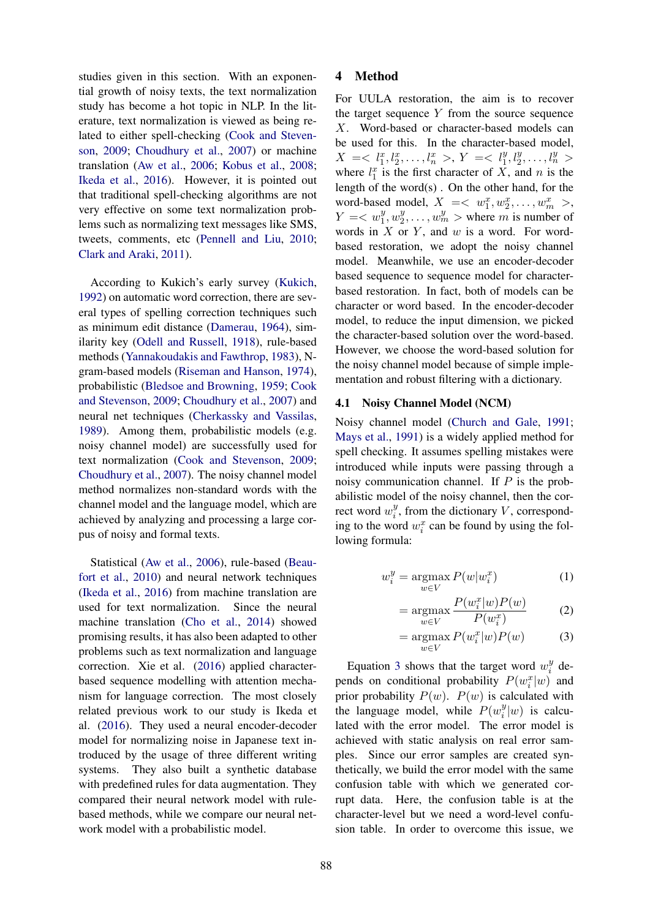studies given in this section. With an exponential growth of noisy texts, the text normalization study has become a hot topic in NLP. In the literature, text normalization is viewed as being related to either spell-checking (Cook and Stevenson, 2009; Choudhury et al., 2007) or machine translation (Aw et al., 2006; Kobus et al., 2008; Ikeda et al., 2016). However, it is pointed out that traditional spell-checking algorithms are not very effective on some text normalization problems such as normalizing text messages like SMS, tweets, comments, etc (Pennell and Liu, 2010; Clark and Araki, 2011).

According to Kukich's early survey (Kukich, 1992) on automatic word correction, there are several types of spelling correction techniques such as minimum edit distance (Damerau, 1964), similarity key (Odell and Russell, 1918), rule-based methods (Yannakoudakis and Fawthrop, 1983), Ngram-based models (Riseman and Hanson, 1974), probabilistic (Bledsoe and Browning, 1959; Cook and Stevenson, 2009; Choudhury et al., 2007) and neural net techniques (Cherkassky and Vassilas, 1989). Among them, probabilistic models (e.g. noisy channel model) are successfully used for text normalization (Cook and Stevenson, 2009; Choudhury et al., 2007). The noisy channel model method normalizes non-standard words with the channel model and the language model, which are achieved by analyzing and processing a large corpus of noisy and formal texts.

Statistical (Aw et al., 2006), rule-based (Beaufort et al., 2010) and neural network techniques (Ikeda et al., 2016) from machine translation are used for text normalization. Since the neural machine translation (Cho et al., 2014) showed promising results, it has also been adapted to other problems such as text normalization and language correction. Xie et al. (2016) applied characterbased sequence modelling with attention mechanism for language correction. The most closely related previous work to our study is Ikeda et al. (2016). They used a neural encoder-decoder model for normalizing noise in Japanese text introduced by the usage of three different writing systems. They also built a synthetic database with predefined rules for data augmentation. They compared their neural network model with rulebased methods, while we compare our neural network model with a probabilistic model.

## 4 Method

For UULA restoration, the aim is to recover the target sequence  $Y$  from the source sequence X. Word-based or character-based models can be used for this. In the character-based model,  $X = \langle l_1^x, l_2^x, \dots, l_n^x \rangle, Y = \langle l_1^y, l_2^y, \dots, l_n^y \rangle$ where  $l_1^x$  is the first character of X, and n is the length of the word(s) . On the other hand, for the word-based model,  $X = \langle w_1^x, w_2^x, \dots, w_m^x \rangle$ ,  $Y = \langle w_1^y, w_2^y \rangle$  $w_1^y, \ldots, w_m^y$  > where m is number of words in  $X$  or  $Y$ , and  $w$  is a word. For wordbased restoration, we adopt the noisy channel model. Meanwhile, we use an encoder-decoder based sequence to sequence model for characterbased restoration. In fact, both of models can be character or word based. In the encoder-decoder model, to reduce the input dimension, we picked the character-based solution over the word-based. However, we choose the word-based solution for the noisy channel model because of simple implementation and robust filtering with a dictionary.

## 4.1 Noisy Channel Model (NCM)

Noisy channel model (Church and Gale, 1991; Mays et al., 1991) is a widely applied method for spell checking. It assumes spelling mistakes were introduced while inputs were passing through a noisy communication channel. If  $P$  is the probabilistic model of the noisy channel, then the correct word  $w_i^y$  $i<sup>y</sup>$ , from the dictionary V, corresponding to the word  $w_i^x$  can be found by using the following formula:

$$
w_i^y = \underset{w \in V}{\operatorname{argmax}} P(w|w_i^x) \tag{1}
$$

$$
= \underset{w \in V}{\operatorname{argmax}} \frac{P(w_i^x | w) P(w)}{P(w_i^x)} \tag{2}
$$

$$
= \underset{w \in V}{\operatorname{argmax}} P(w_i^x | w) P(w) \tag{3}
$$

Equation 3 shows that the target word  $w_i^y$  $\int_i^y$  depends on conditional probability  $P(w_i^x|w)$  and prior probability  $P(w)$ .  $P(w)$  is calculated with the language model, while  $P(w_i^y)$  $i^y|w)$  is calculated with the error model. The error model is achieved with static analysis on real error samples. Since our error samples are created synthetically, we build the error model with the same confusion table with which we generated corrupt data. Here, the confusion table is at the character-level but we need a word-level confusion table. In order to overcome this issue, we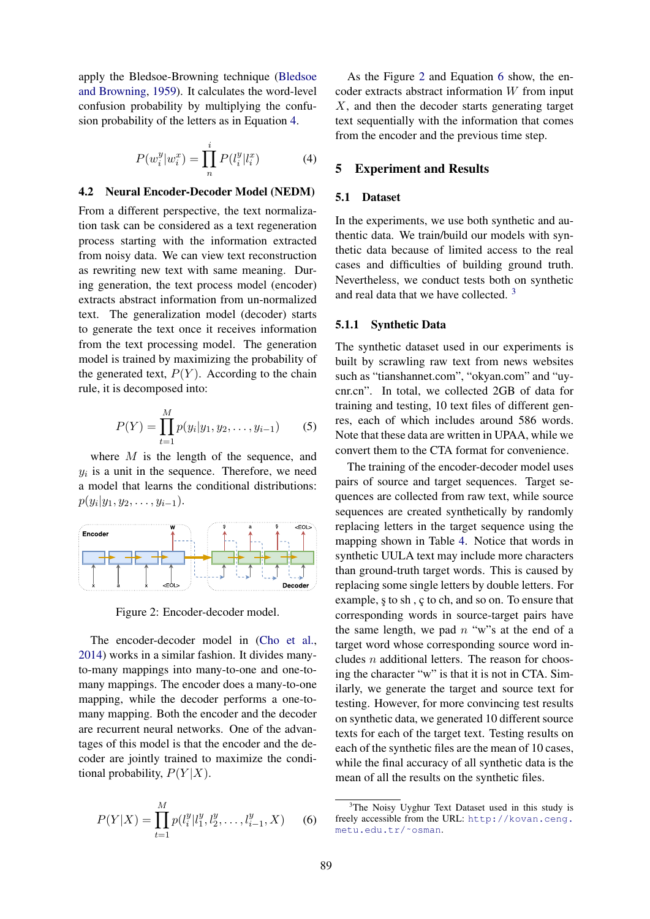apply the Bledsoe-Browning technique (Bledsoe and Browning, 1959). It calculates the word-level confusion probability by multiplying the confusion probability of the letters as in Equation 4.

$$
P(w_i^y|w_i^x) = \prod_n^i P(l_i^y|l_i^x)
$$
 (4)

## 4.2 Neural Encoder-Decoder Model (NEDM)

From a different perspective, the text normalization task can be considered as a text regeneration process starting with the information extracted from noisy data. We can view text reconstruction as rewriting new text with same meaning. During generation, the text process model (encoder) extracts abstract information from un-normalized text. The generalization model (decoder) starts to generate the text once it receives information from the text processing model. The generation model is trained by maximizing the probability of the generated text,  $P(Y)$ . According to the chain rule, it is decomposed into:

$$
P(Y) = \prod_{t=1}^{M} p(y_i | y_1, y_2, \dots, y_{i-1})
$$
 (5)

where M is the length of the sequence, and  $y_i$  is a unit in the sequence. Therefore, we need a model that learns the conditional distributions:  $p(y_i|y_1, y_2, \ldots, y_{i-1}).$ 



Figure 2: Encoder-decoder model.

The encoder-decoder model in (Cho et al., 2014) works in a similar fashion. It divides manyto-many mappings into many-to-one and one-tomany mappings. The encoder does a many-to-one mapping, while the decoder performs a one-tomany mapping. Both the encoder and the decoder are recurrent neural networks. One of the advantages of this model is that the encoder and the decoder are jointly trained to maximize the conditional probability,  $P(Y|X)$ .

$$
P(Y|X) = \prod_{t=1}^{M} p(l_i^y | l_1^y, l_2^y, \dots, l_{i-1}^y, X) \tag{6}
$$

As the Figure 2 and Equation 6 show, the encoder extracts abstract information  $W$  from input X, and then the decoder starts generating target text sequentially with the information that comes from the encoder and the previous time step.

## 5 Experiment and Results

### 5.1 Dataset

In the experiments, we use both synthetic and authentic data. We train/build our models with synthetic data because of limited access to the real cases and difficulties of building ground truth. Nevertheless, we conduct tests both on synthetic and real data that we have collected. <sup>3</sup>

#### 5.1.1 Synthetic Data

The synthetic dataset used in our experiments is built by scrawling raw text from news websites such as "tianshannet.com", "okyan.com" and "uycnr.cn". In total, we collected 2GB of data for training and testing, 10 text files of different genres, each of which includes around 586 words. Note that these data are written in UPAA, while we convert them to the CTA format for convenience.

The training of the encoder-decoder model uses pairs of source and target sequences. Target sequences are collected from raw text, while source sequences are created synthetically by randomly replacing letters in the target sequence using the mapping shown in Table 4. Notice that words in synthetic UULA text may include more characters than ground-truth target words. This is caused by replacing some single letters by double letters. For example, s to sh, c to ch, and so on. To ensure that corresponding words in source-target pairs have the same length, we pad  $n$  "w"s at the end of a target word whose corresponding source word includes  $n$  additional letters. The reason for choosing the character "w" is that it is not in CTA. Similarly, we generate the target and source text for testing. However, for more convincing test results on synthetic data, we generated 10 different source texts for each of the target text. Testing results on each of the synthetic files are the mean of 10 cases, while the final accuracy of all synthetic data is the mean of all the results on the synthetic files.

<sup>&</sup>lt;sup>3</sup>The Noisy Uyghur Text Dataset used in this study is freely accessible from the URL: http://kovan.ceng. metu.edu.tr/˜osman.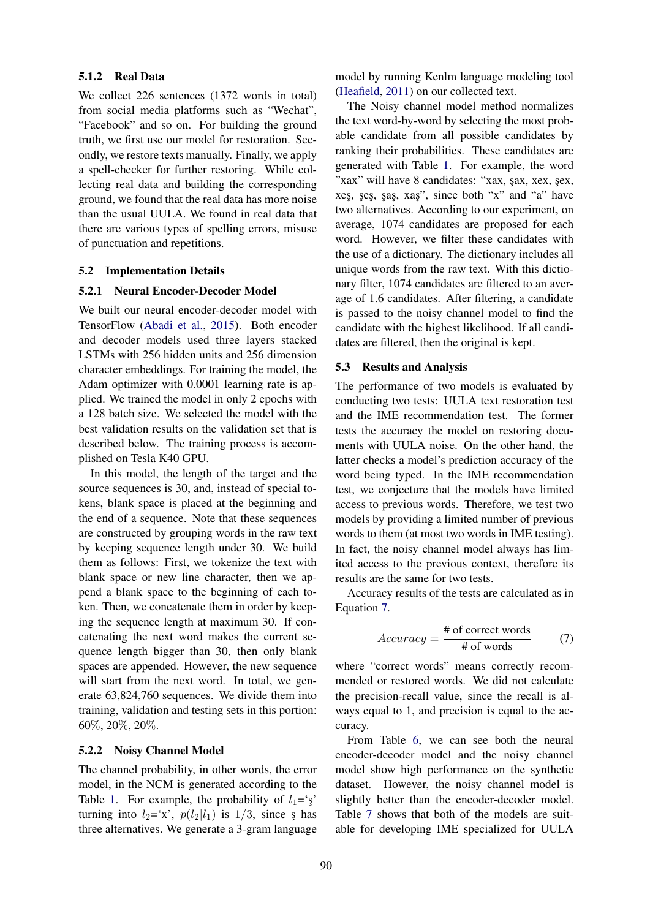## 5.1.2 Real Data

We collect 226 sentences (1372 words in total) from social media platforms such as "Wechat", "Facebook" and so on. For building the ground truth, we first use our model for restoration. Secondly, we restore texts manually. Finally, we apply a spell-checker for further restoring. While collecting real data and building the corresponding ground, we found that the real data has more noise than the usual UULA. We found in real data that there are various types of spelling errors, misuse of punctuation and repetitions.

## 5.2 Implementation Details

## 5.2.1 Neural Encoder-Decoder Model

We built our neural encoder-decoder model with TensorFlow (Abadi et al., 2015). Both encoder and decoder models used three layers stacked LSTMs with 256 hidden units and 256 dimension character embeddings. For training the model, the Adam optimizer with 0.0001 learning rate is applied. We trained the model in only 2 epochs with a 128 batch size. We selected the model with the best validation results on the validation set that is described below. The training process is accomplished on Tesla K40 GPU.

In this model, the length of the target and the source sequences is 30, and, instead of special tokens, blank space is placed at the beginning and the end of a sequence. Note that these sequences are constructed by grouping words in the raw text by keeping sequence length under 30. We build them as follows: First, we tokenize the text with blank space or new line character, then we append a blank space to the beginning of each token. Then, we concatenate them in order by keeping the sequence length at maximum 30. If concatenating the next word makes the current sequence length bigger than 30, then only blank spaces are appended. However, the new sequence will start from the next word. In total, we generate 63,824,760 sequences. We divide them into training, validation and testing sets in this portion: 60%, 20%, 20%.

## 5.2.2 Noisy Channel Model

The channel probability, in other words, the error model, in the NCM is generated according to the Table 1. For example, the probability of  $l_1$ ='s turning into  $l_2$ ='x',  $p(l_2|l_1)$  is  $1/3$ , since  $\zeta$  has three alternatives. We generate a 3-gram language

model by running Kenlm language modeling tool (Heafield, 2011) on our collected text.

The Noisy channel model method normalizes the text word-by-word by selecting the most probable candidate from all possible candidates by ranking their probabilities. These candidates are generated with Table 1. For example, the word "xax" will have 8 candidates: "xax, şax, xex, şex, xes, ses, sas, xas", since both "x" and "a" have two alternatives. According to our experiment, on average, 1074 candidates are proposed for each word. However, we filter these candidates with the use of a dictionary. The dictionary includes all unique words from the raw text. With this dictionary filter, 1074 candidates are filtered to an average of 1.6 candidates. After filtering, a candidate is passed to the noisy channel model to find the candidate with the highest likelihood. If all candidates are filtered, then the original is kept.

#### 5.3 Results and Analysis

The performance of two models is evaluated by conducting two tests: UULA text restoration test and the IME recommendation test. The former tests the accuracy the model on restoring documents with UULA noise. On the other hand, the latter checks a model's prediction accuracy of the word being typed. In the IME recommendation test, we conjecture that the models have limited access to previous words. Therefore, we test two models by providing a limited number of previous words to them (at most two words in IME testing). In fact, the noisy channel model always has limited access to the previous context, therefore its results are the same for two tests.

Accuracy results of the tests are calculated as in Equation 7.

$$
Accuracy = \frac{\text{\# of correct words}}{\text{\# of words}} \tag{7}
$$

where "correct words" means correctly recommended or restored words. We did not calculate the precision-recall value, since the recall is always equal to 1, and precision is equal to the accuracy.

From Table 6, we can see both the neural encoder-decoder model and the noisy channel model show high performance on the synthetic dataset. However, the noisy channel model is slightly better than the encoder-decoder model. Table 7 shows that both of the models are suitable for developing IME specialized for UULA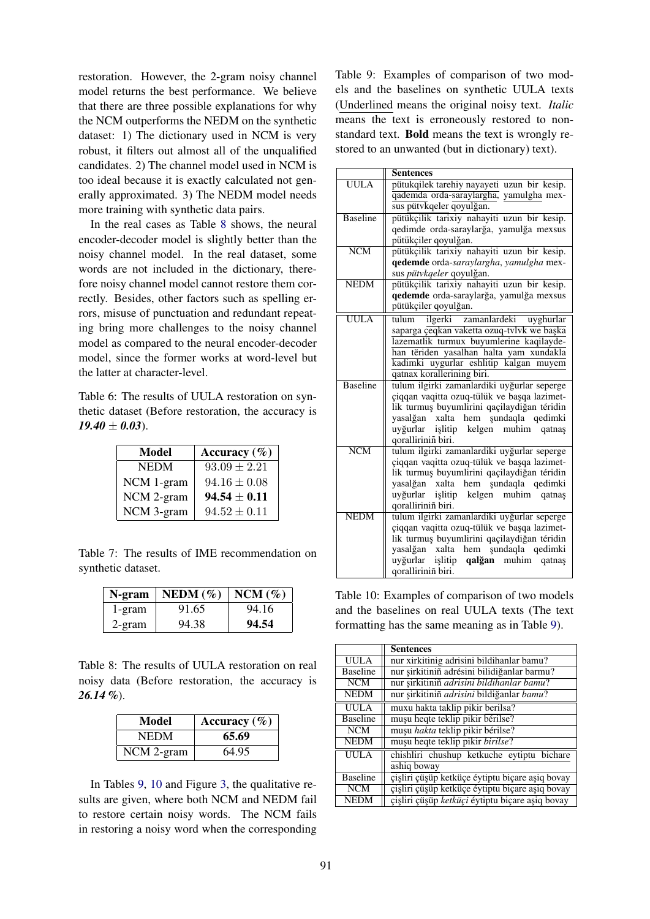restoration. However, the 2-gram noisy channel model returns the best performance. We believe that there are three possible explanations for why the NCM outperforms the NEDM on the synthetic dataset: 1) The dictionary used in NCM is very robust, it filters out almost all of the unqualified candidates. 2) The channel model used in NCM is too ideal because it is exactly calculated not generally approximated. 3) The NEDM model needs more training with synthetic data pairs.

In the real cases as Table 8 shows, the neural encoder-decoder model is slightly better than the noisy channel model. In the real dataset, some words are not included in the dictionary, therefore noisy channel model cannot restore them correctly. Besides, other factors such as spelling errors, misuse of punctuation and redundant repeating bring more challenges to the noisy channel model as compared to the neural encoder-decoder model, since the former works at word-level but the latter at character-level.

Table 6: The results of UULA restoration on synthetic dataset (Before restoration, the accuracy is  $19.40 \pm 0.03$ .

| Model       | Accuracy $(\% )$ |
|-------------|------------------|
| <b>NEDM</b> | $93.09 \pm 2.21$ |
| NCM 1-gram  | $94.16 \pm 0.08$ |
| NCM 2-gram  | $94.54 \pm 0.11$ |
| NCM 3-gram  | $94.52 \pm 0.11$ |

Table 7: The results of IME recommendation on synthetic dataset.

| N-gram | NEDM $(\% )$ | $NCM$ (%) |
|--------|--------------|-----------|
| 1-gram | 91.65        | 94.16     |
| 2-gram | 94.38        | 94.54     |

Table  $8$ <sup>The results of UULA restoration on real</sup> noisy data (Before restoration, the accuracy is *26.14 %*).

| Model      | Accuracy $(\% )$ |
|------------|------------------|
| NEDM       | 65.69            |
| NCM 2-gram | 64.95            |

In Tables 9, 10 and Figure 3, the qualitative results are given, where both NCM and NEDM fail to restore certain noisy words. The NCM fails in restoring a noisy word when the corresponding Table 9: Examples of comparison of two models and the baselines on synthetic UULA texts (Underlined means the original noisy text. *Italic* means the text is erroneously restored to nonstandard text. Bold means the text is wrongly restored to an unwanted (but in dictionary) text).

|                         | Sentences                                                                                  |  |  |  |  |
|-------------------------|--------------------------------------------------------------------------------------------|--|--|--|--|
| $1 1 1 1 1 1 1 1$       | pütukqilek tarehiy nayayeti uzun bir kesip.                                                |  |  |  |  |
|                         | qademda orda-saraylargha, yamulgha mex-                                                    |  |  |  |  |
|                         | sus pütvkqeler qoyulğan.                                                                   |  |  |  |  |
| <b>Baseline</b>         | pütükçilik tarixiy nahayiti uzun bir kesip.                                                |  |  |  |  |
|                         | qedimde orda-saraylarğa, yamulğa mexsus                                                    |  |  |  |  |
|                         | pütükçiler qoyulğan.                                                                       |  |  |  |  |
| $\overline{\text{NCM}}$ | pütükçilik tarixiy nahayiti uzun bir kesip.                                                |  |  |  |  |
|                         | qedemde orda-saraylargha, yamulgha mex-                                                    |  |  |  |  |
|                         | sus pütvkqeler qoyulğan.                                                                   |  |  |  |  |
| <b>NEDM</b>             | pütükçilik tarixiy nahayiti uzun bir kesip.                                                |  |  |  |  |
|                         | qedemde orda-saraylarğa, yamulğa mexsus                                                    |  |  |  |  |
|                         | pütükçiler qoyulğan.                                                                       |  |  |  |  |
| <b>UULA</b>             | tulum<br>ilgerki zamanlardeki<br>uyghurlar                                                 |  |  |  |  |
|                         | saparga çeqkan vaketta ozuq-tvlvk we başka                                                 |  |  |  |  |
|                         | lazematlik turmux buyumlerine kaqilayde-                                                   |  |  |  |  |
|                         | han tëriden yasalhan halta yam xundakla                                                    |  |  |  |  |
|                         | kadimki uygurlar eshlitip kalgan<br>muyem                                                  |  |  |  |  |
|                         | qatnax korallerining biri.                                                                 |  |  |  |  |
| <b>Baseline</b>         | tulum ilgirki zamanlardiki uyğurlar seperge                                                |  |  |  |  |
|                         | çiqqan vaqitta ozuq-tülük ve başqa lazimet-                                                |  |  |  |  |
|                         | lik turmuş buyumlirini qaçilaydiğan téridin                                                |  |  |  |  |
|                         | yasalğan xalta hem şundaqla qedimki                                                        |  |  |  |  |
|                         | uyğurlar işlitip kelgen muhim<br>qatnas                                                    |  |  |  |  |
| $\overline{\text{NCM}}$ | qoralliriniñ biri.                                                                         |  |  |  |  |
|                         | tulum ilgirki zamanlardiki uyğurlar seperge                                                |  |  |  |  |
|                         | çiqqan vaqitta ozuq-tülük ve başqa lazimet-<br>lik turmuş buyumlirini qaçilaydiğan téridin |  |  |  |  |
|                         | yasalğan xalta hem şundaqla qedimki                                                        |  |  |  |  |
|                         | uyğurlar işlitip kelgen muhim<br>qatnas                                                    |  |  |  |  |
|                         | qoralliriniñ biri.                                                                         |  |  |  |  |
| <b>NEDM</b>             | tulum ilgirki zamanlardiki uyğurlar seperge                                                |  |  |  |  |
|                         | çiqqan vaqitta ozuq-tülük ve başqa lazimet-                                                |  |  |  |  |
|                         | lik turmuş buyumlirini qaçilaydiğan téridin                                                |  |  |  |  |
|                         | yasalğan xalta hem şundaqla qedimki                                                        |  |  |  |  |
|                         | uyğurlar işlitip qalğan muhim<br>qatnas                                                    |  |  |  |  |
|                         | qoralliriniñ biri.                                                                         |  |  |  |  |

Table 10: Examples of comparison of two models and the baselines on real UULA texts (The text formatting has the same meaning as in Table 9).

|                 | <b>Sentences</b>                                 |
|-----------------|--------------------------------------------------|
| <b>UULA</b>     | nur xirkitinig adrisini bildihanlar bamu?        |
| <b>Baseline</b> | nur şirkitiniñ adrésini bilidiğanlar barmu?      |
| NCM             | nur şirkitiniñ adrisini bildihanlar bamu?        |
| <b>NEDM</b>     | nur şirkitiniñ <i>adrisini</i> bildiğanlar bamu? |
| <b>UULA</b>     | muxu hakta taklip pikir berilsa?                 |
| <b>Baseline</b> | mușu heqte teklip pikir bérilse?                 |
| <b>NCM</b>      | muşu hakta teklip pikir bérilse?                 |
| <b>NEDM</b>     | muşu heqte teklip pikir birilse?                 |
| <b>UULA</b>     | chishliri chushup ketkuche eytiptu bichare       |
|                 | ashiq boway                                      |
| <b>Baseline</b> | çişliri çüşüp ketküçe éytiptu biçare aşiq bovay  |
| <b>NCM</b>      | çişliri çüşüp ketküçe éytiptu biçare aşiq bovay  |
| <b>NEDM</b>     | çişliri çüşüp ketküçi éytiptu biçare aşiq bovay  |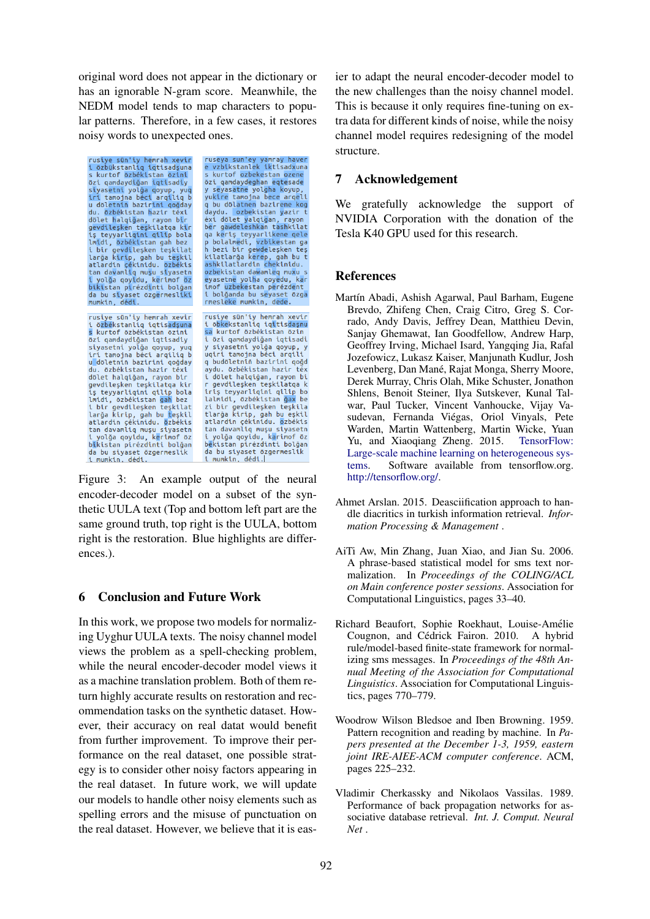original word does not appear in the dictionary or has an ignorable N-gram score. Meanwhile, the NEDM model tends to map characters to popular patterns. Therefore, in a few cases, it restores noisy words to unexpected ones.

| rusiye sün'iy hemrah xevir<br>i özbükstanliq iqtisadşuna<br>s kurtof özbékistan özini<br>özi qamdaydiğan iqtisadiy<br>siyasetni yolğa qoyup, yuq<br>iri tamojna béci arqiliq b<br>u döletniñ bazirini qoğday<br>du. özbékistan hazir téxi<br>dölet halqiğan, rayon bir<br>gevdileşken teşkilatga kir<br>iş teyyarligini gilip bola<br>lmidi, özbékistan gah bez<br>i bir gevdileşken teşkilat<br>larğa kirip, gah bu teşkil<br>atlardin çékinidu. özbékis<br>tan davamliq muşu siyasetn<br>i yolğa qoyidu, kerimof öz<br>bikistan pirézdinti bolğan | ruseya sun'ey yamray haver<br>e vzbikstanlek iktisadxuna<br>s kurtof ozbekestan ozene<br>özi gamdaydeghan egtesade<br>y seyasatne yolgha koyup,<br>yukire tamojna bece argeli<br>g bu dölatnen bazirene kog<br>daydu. ozbekistan yazir t<br>éxi dölet yalqigan, rayon<br>ber gawdeleshkan tashkilat<br>ga keris teyyarlikene gele<br>p bolalmedi, vzbikestan ga<br>h bezi bir gewdeleşken teş<br>kilatlarğa k <mark>ere</mark> p, gah bu t<br>ashkilatlardin chekinidu.<br>ozbekistan dawamleg muxu s<br>eyasetne yolha qoyedu, kar<br>imof uzbekestan perézdent<br>i bolğanda bu seyaset özga |
|-----------------------------------------------------------------------------------------------------------------------------------------------------------------------------------------------------------------------------------------------------------------------------------------------------------------------------------------------------------------------------------------------------------------------------------------------------------------------------------------------------------------------------------------------------|------------------------------------------------------------------------------------------------------------------------------------------------------------------------------------------------------------------------------------------------------------------------------------------------------------------------------------------------------------------------------------------------------------------------------------------------------------------------------------------------------------------------------------------------------------------------------------------------|
| da bu siyaset özgermesliki<br>mumkin, dédi. In a shi                                                                                                                                                                                                                                                                                                                                                                                                                                                                                                | rmesleke mumkin, dede.                                                                                                                                                                                                                                                                                                                                                                                                                                                                                                                                                                         |
| rusiye sün'iy hemrah xevir                                                                                                                                                                                                                                                                                                                                                                                                                                                                                                                          | rusiye sün'iy hemrah xevir                                                                                                                                                                                                                                                                                                                                                                                                                                                                                                                                                                     |
| i özbékstanliq iqtisadşuna                                                                                                                                                                                                                                                                                                                                                                                                                                                                                                                          | i öbkekstanliq iqitisdaşnu                                                                                                                                                                                                                                                                                                                                                                                                                                                                                                                                                                     |
| s kurtof özbékistan özini                                                                                                                                                                                                                                                                                                                                                                                                                                                                                                                           | sa kurtof özbékistan özin                                                                                                                                                                                                                                                                                                                                                                                                                                                                                                                                                                      |
| özi qamdaydiğan iqtisadiy                                                                                                                                                                                                                                                                                                                                                                                                                                                                                                                           | i özi qamdaydiğan iqtisadi                                                                                                                                                                                                                                                                                                                                                                                                                                                                                                                                                                     |
| siyasetni yolğa qoyup, yuq                                                                                                                                                                                                                                                                                                                                                                                                                                                                                                                          | y siyasetni yolğa qoyup, y                                                                                                                                                                                                                                                                                                                                                                                                                                                                                                                                                                     |
| iri tamojna béci arqiliq b                                                                                                                                                                                                                                                                                                                                                                                                                                                                                                                          | uqiri tamojna béci arqili                                                                                                                                                                                                                                                                                                                                                                                                                                                                                                                                                                      |
| u döletniñ bazirini goğday                                                                                                                                                                                                                                                                                                                                                                                                                                                                                                                          | q budöletniñ bazirini qoğd                                                                                                                                                                                                                                                                                                                                                                                                                                                                                                                                                                     |
| du. özbékistan hazir téxi                                                                                                                                                                                                                                                                                                                                                                                                                                                                                                                           | aydu. özbékistan hazir téx                                                                                                                                                                                                                                                                                                                                                                                                                                                                                                                                                                     |
| dölet halqiğan, rayon bir                                                                                                                                                                                                                                                                                                                                                                                                                                                                                                                           | i dölet halqiğan, rayon bi                                                                                                                                                                                                                                                                                                                                                                                                                                                                                                                                                                     |
| gevdilesken teskilatga kir                                                                                                                                                                                                                                                                                                                                                                                                                                                                                                                          | r gevdileşken teşkilatqa k                                                                                                                                                                                                                                                                                                                                                                                                                                                                                                                                                                     |
| iş teyyarliqini qilip bola                                                                                                                                                                                                                                                                                                                                                                                                                                                                                                                          | iriş teyyarliqini qilip bo                                                                                                                                                                                                                                                                                                                                                                                                                                                                                                                                                                     |
| lmidi, özbékistan gah bez                                                                                                                                                                                                                                                                                                                                                                                                                                                                                                                           | lalmidi, özbékistan ğax be                                                                                                                                                                                                                                                                                                                                                                                                                                                                                                                                                                     |
| i bir qevdileşken teşkilat                                                                                                                                                                                                                                                                                                                                                                                                                                                                                                                          | zi bir qevdileşken teşkila                                                                                                                                                                                                                                                                                                                                                                                                                                                                                                                                                                     |
| larğa kirip, gah bu teşkil                                                                                                                                                                                                                                                                                                                                                                                                                                                                                                                          | tlarğa kirip, gah bu eşkil                                                                                                                                                                                                                                                                                                                                                                                                                                                                                                                                                                     |
| atlardin çékinidu. özbékis                                                                                                                                                                                                                                                                                                                                                                                                                                                                                                                          | atlardin çékinidu. ozbékis                                                                                                                                                                                                                                                                                                                                                                                                                                                                                                                                                                     |
| tan davamliq muşu siyasetn                                                                                                                                                                                                                                                                                                                                                                                                                                                                                                                          | tan davamliq muşu siyasetn                                                                                                                                                                                                                                                                                                                                                                                                                                                                                                                                                                     |
| i yolğa qoyidu, kerimof öz                                                                                                                                                                                                                                                                                                                                                                                                                                                                                                                          | i yolğa qoyidu, karimof öz                                                                                                                                                                                                                                                                                                                                                                                                                                                                                                                                                                     |
| bikistan pirézdinti bolğan                                                                                                                                                                                                                                                                                                                                                                                                                                                                                                                          | békistan pirézdinti bolğan                                                                                                                                                                                                                                                                                                                                                                                                                                                                                                                                                                     |
| da bu siyaset özgermeslik                                                                                                                                                                                                                                                                                                                                                                                                                                                                                                                           | da bu siyaset özgermeslik                                                                                                                                                                                                                                                                                                                                                                                                                                                                                                                                                                      |
| i mumkin dédi                                                                                                                                                                                                                                                                                                                                                                                                                                                                                                                                       | i mumkin dédi.l                                                                                                                                                                                                                                                                                                                                                                                                                                                                                                                                                                                |

Figure 3: An example output of the neural encoder-decoder model on a subset of the synthetic UULA text (Top and bottom left part are the same ground truth, top right is the UULA, bottom right is the restoration. Blue highlights are differences.).

## 6 Conclusion and Future Work

In this work, we propose two models for normalizing Uyghur UULA texts. The noisy channel model views the problem as a spell-checking problem, while the neural encoder-decoder model views it as a machine translation problem. Both of them return highly accurate results on restoration and recommendation tasks on the synthetic dataset. However, their accuracy on real datat would benefit from further improvement. To improve their performance on the real dataset, one possible strategy is to consider other noisy factors appearing in the real dataset. In future work, we will update our models to handle other noisy elements such as spelling errors and the misuse of punctuation on the real dataset. However, we believe that it is eas-

ier to adapt the neural encoder-decoder model to the new challenges than the noisy channel model. This is because it only requires fine-tuning on extra data for different kinds of noise, while the noisy channel model requires redesigning of the model structure.

## 7 Acknowledgement

We gratefully acknowledge the support of NVIDIA Corporation with the donation of the Tesla K40 GPU used for this research.

## References

- Martín Abadi, Ashish Agarwal, Paul Barham, Eugene Brevdo, Zhifeng Chen, Craig Citro, Greg S. Corrado, Andy Davis, Jeffrey Dean, Matthieu Devin, Sanjay Ghemawat, Ian Goodfellow, Andrew Harp, Geoffrey Irving, Michael Isard, Yangqing Jia, Rafal Jozefowicz, Lukasz Kaiser, Manjunath Kudlur, Josh Levenberg, Dan Mané, Rajat Monga, Sherry Moore, Derek Murray, Chris Olah, Mike Schuster, Jonathon Shlens, Benoit Steiner, Ilya Sutskever, Kunal Talwar, Paul Tucker, Vincent Vanhoucke, Vijay Vasudevan, Fernanda Viegas, Oriol Vinyals, Pete ´ Warden, Martin Wattenberg, Martin Wicke, Yuan Yu, and Xiaoqiang Zheng. 2015. Large-scale machine learning on heterogeneous systems. Software available from tensorflow.org. http://tensorflow.org/.
- Ahmet Arslan. 2015. Deasciification approach to handle diacritics in turkish information retrieval. *Information Processing & Management* .
- AiTi Aw, Min Zhang, Juan Xiao, and Jian Su. 2006. A phrase-based statistical model for sms text normalization. In *Proceedings of the COLING/ACL on Main conference poster sessions*. Association for Computational Linguistics, pages 33–40.
- Richard Beaufort, Sophie Roekhaut, Louise-Amelie ´ Cougnon, and Cédrick Fairon. 2010. A hybrid rule/model-based finite-state framework for normalizing sms messages. In *Proceedings of the 48th Annual Meeting of the Association for Computational Linguistics*. Association for Computational Linguistics, pages 770–779.
- Woodrow Wilson Bledsoe and Iben Browning. 1959. Pattern recognition and reading by machine. In *Papers presented at the December 1-3, 1959, eastern joint IRE-AIEE-ACM computer conference*. ACM, pages 225–232.
- Vladimir Cherkassky and Nikolaos Vassilas. 1989. Performance of back propagation networks for associative database retrieval. *Int. J. Comput. Neural Net* .